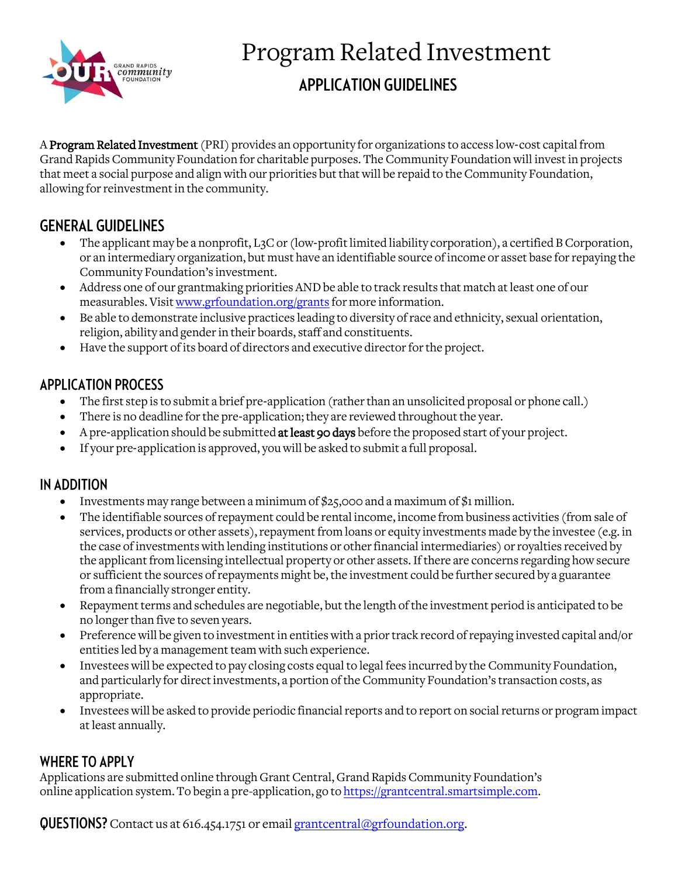

# Program Related Investment **APPLICATION GUIDELINES**

A Program Related Investment (PRI) provides an opportunity for organizations to access low-cost capital from Grand Rapids Community Foundation for charitable purposes. The Community Foundation will invest in projects that meet a social purpose and align with our priorities but that will be repaid to the Community Foundation, allowing for reinvestment in the community.

# **GENERAL GUIDELINES**

- The applicant may be a nonprofit, L<sub>3</sub>C or (low-profit limited liability corporation), a certified B Corporation, or an intermediary organization, but must have an identifiable source of income or asset base for repaying the Community Foundation's investment.
- Address one of our grantmaking priorities AND be able to track results that match at least one of our measurables. Visi[t www.grfoundation.org/grants](http://www.grfoundation.org/grants) for more information.
- Be able to demonstrate inclusive practices leading to diversity of race and ethnicity, sexual orientation, religion, ability and gender in their boards, staff and constituents.
- Have the support of its board of directors and executive director for the project.

## **APPLICATION PROCESS**

- The first step is to submit a brief pre-application (rather than an unsolicited proposal or phone call.)
- There is no deadline for the pre-application; they are reviewed throughout the year.
- A pre-application should be submitted at least 90 days before the proposed start of your project.
- If your pre‐application is approved, you will be asked to submit a full proposal.

## IN ADDITION

- Investments may range between a minimum of  $$25,000$  and a maximum of  $$1$  million.
- The identifiable sources of repayment could be rental income, income from business activities (from sale of services, products or other assets), repayment from loans or equity investments made by the investee (e.g. in the case of investments with lending institutions or other financial intermediaries) or royalties received by the applicant from licensing intellectual property or other assets. If there are concerns regarding how secure or sufficient the sources of repayments might be, the investment could be further secured by a guarantee from a financially stronger entity.
- Repayment terms and schedules are negotiable, but the length of the investment period is anticipated to be no longer than five to seven years.
- Preference will be given to investment in entities with a prior track record of repaying invested capital and/or entities led by a management team with such experience.
- Investees will be expected to pay closing costs equal to legal fees incurred by the Community Foundation, and particularly for direct investments, a portion of the Community Foundation's transaction costs, as appropriate.
- Investees will be asked to provide periodic financial reports and to report on social returns or program impact at least annually.

## **WHERE TO APPLY**

Applications are submitted online through Grant Central, Grand Rapids Community Foundation's online application system. To begin a pre-application, go t[o https://grantcentral.smartsimple.com.](https://grantcentral.smartsimple.com/)

**QUESTIONS?** Contact us at 616.454.1751 or emai[l grantcentral@grfoundation.org.](mailto:grantcentral@grfoundation.org)